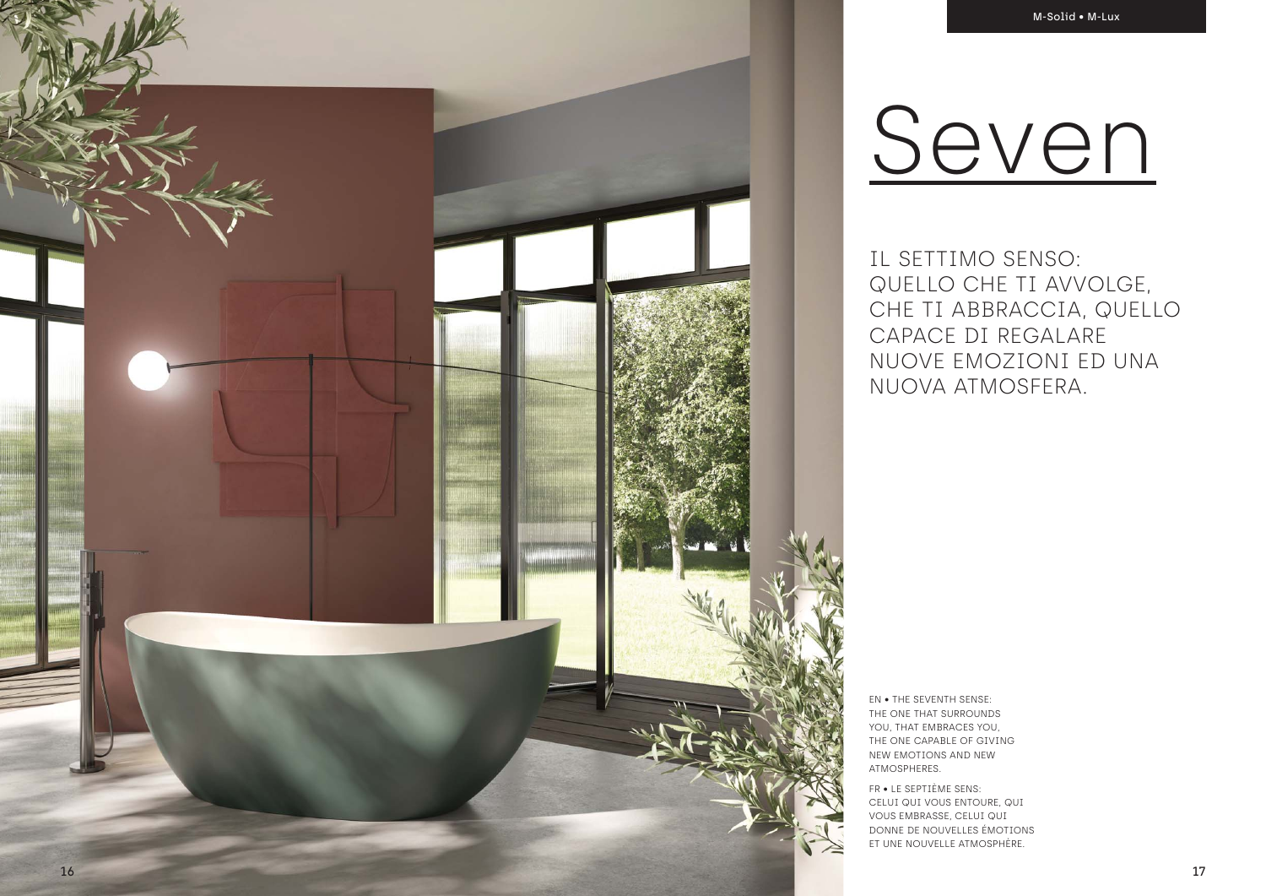IL SETTIMO SENSO: QUELLO CHE TI AVVOLGE, CHE TI ABBRACCIA, QUELLO CAPACE DI REGALARE NUOVE EMOZIONI ED UNA NUOVA ATMOSFERA.

EN • THE SEVENTH SENSE: THE ONE THAT SURROUNDS YOU, THAT EMBRACES YOU, THE ONE CAPABLE OF GIVING NEW EMOTIONS AND NEW ATMOSPHERES.

FR • LE SEPTIÈME SENS: CELUI QUI VOUS ENTOURE, QUI VOUS EMBRASSE, CELUI QUI DONNE DE NOUVELLES ÉMOTIONS ET UNE NOUVELLE ATMOSPHÈRE.

# Seven